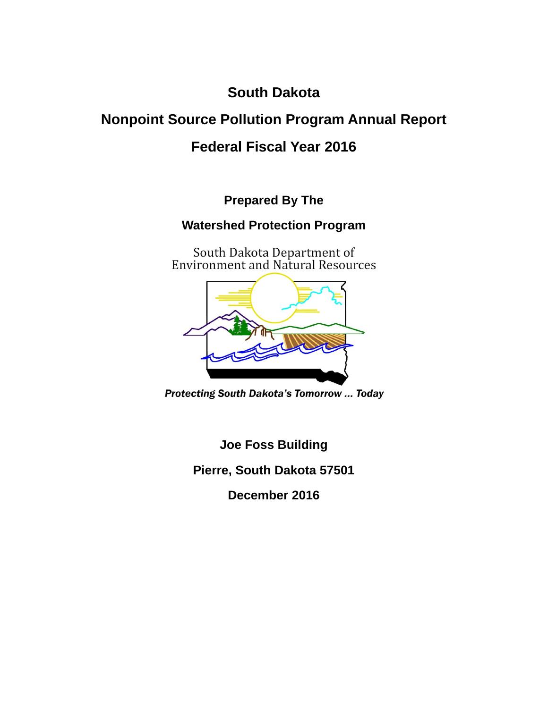**South Dakota** 

# **Nonpoint Source Pollution Program Annual Report**

## **Federal Fiscal Year 2016**

**Prepared By The** 

## **Watershed Protection Program**

South Dakota Department of<br>Environment and Natural Resources



**Protecting South Dakota's Tomorrow ... Today** 

**Joe Foss Building** 

**Pierre, South Dakota 57501** 

**December 2016**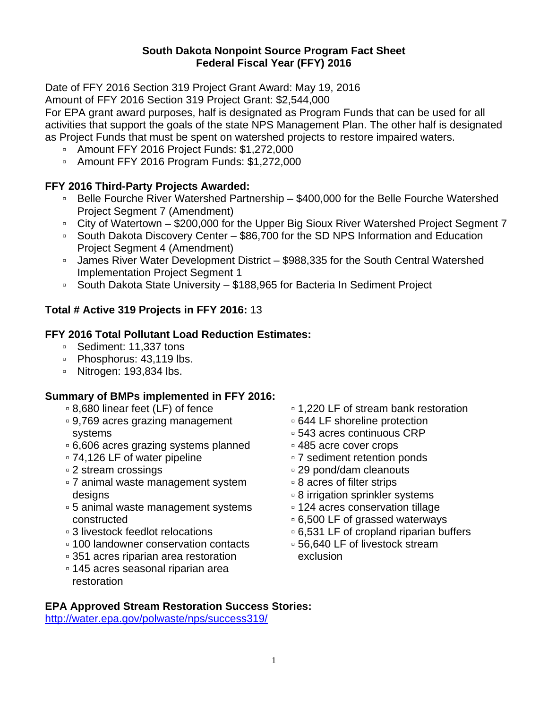#### **South Dakota Nonpoint Source Program Fact Sheet Federal Fiscal Year (FFY) 2016**

Date of FFY 2016 Section 319 Project Grant Award: May 19, 2016

Amount of FFY 2016 Section 319 Project Grant: \$2,544,000

For EPA grant award purposes, half is designated as Program Funds that can be used for all activities that support the goals of the state NPS Management Plan. The other half is designated as Project Funds that must be spent on watershed projects to restore impaired waters.

- Amount FFY 2016 Project Funds: \$1,272,000
- Amount FFY 2016 Program Funds: \$1,272,000

#### **FFY 2016 Third-Party Projects Awarded:**

- Belle Fourche River Watershed Partnership \$400,000 for the Belle Fourche Watershed Project Segment 7 (Amendment)
- City of Watertown \$200,000 for the Upper Big Sioux River Watershed Project Segment 7
- South Dakota Discovery Center \$86,700 for the SD NPS Information and Education Project Segment 4 (Amendment)
- James River Water Development District \$988,335 for the South Central Watershed Implementation Project Segment 1
- South Dakota State University \$188,965 for Bacteria In Sediment Project

### **Total # Active 319 Projects in FFY 2016:** 13

#### **FFY 2016 Total Pollutant Load Reduction Estimates:**

- Sediment: 11,337 tons
- Phosphorus: 43,119 lbs.
- Nitrogen: 193,834 lbs.

#### **Summary of BMPs implemented in FFY 2016:**

- 8,680 linear feet (LF) of fence
- 9,769 acres grazing management systems
- 6,606 acres grazing systems planned
- 74,126 LF of water pipeline
- 2 stream crossings
- 7 animal waste management system designs
- 5 animal waste management systems constructed
- 3 livestock feedlot relocations
- 100 landowner conservation contacts
- 351 acres riparian area restoration
- 145 acres seasonal riparian area restoration
- 1,220 LF of stream bank restoration
- 644 LF shoreline protection
- 543 acres continuous CRP
- 485 acre cover crops
- 7 sediment retention ponds
- 29 pond/dam cleanouts
- 8 acres of filter strips
- 8 irrigation sprinkler systems
- 124 acres conservation tillage
- 6,500 LF of grassed waterways
- 6,531 LF of cropland riparian buffers
- 56,640 LF of livestock stream exclusion

#### **EPA Approved Stream Restoration Success Stories:**

http://water.epa.gov/polwaste/nps/success319/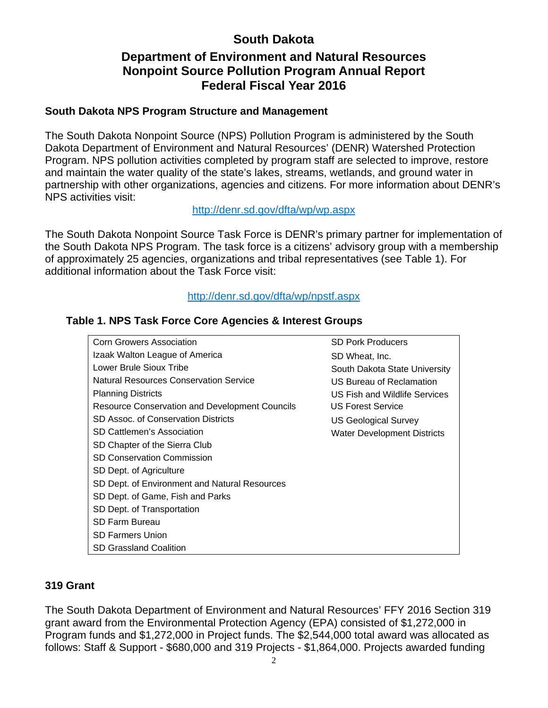## **South Dakota**

## **Department of Environment and Natural Resources Nonpoint Source Pollution Program Annual Report Federal Fiscal Year 2016**

#### **South Dakota NPS Program Structure and Management**

The South Dakota Nonpoint Source (NPS) Pollution Program is administered by the South Dakota Department of Environment and Natural Resources' (DENR) Watershed Protection Program. NPS pollution activities completed by program staff are selected to improve, restore and maintain the water quality of the state's lakes, streams, wetlands, and ground water in partnership with other organizations, agencies and citizens. For more information about DENR's NPS activities visit:

#### http://denr.sd.gov/dfta/wp/wp.aspx

The South Dakota Nonpoint Source Task Force is DENR's primary partner for implementation of the South Dakota NPS Program. The task force is a citizens' advisory group with a membership of approximately 25 agencies, organizations and tribal representatives (see Table 1). For additional information about the Task Force visit:

#### http://denr.sd.gov/dfta/wp/npstf.aspx

#### **Table 1. NPS Task Force Core Agencies & Interest Groups**

| <b>Corn Growers Association</b>                | <b>SD Pork Producers</b>           |
|------------------------------------------------|------------------------------------|
| Izaak Walton League of America                 | SD Wheat, Inc.                     |
| Lower Brule Sioux Tribe                        | South Dakota State University      |
| <b>Natural Resources Conservation Service</b>  | US Bureau of Reclamation           |
| <b>Planning Districts</b>                      | US Fish and Wildlife Services      |
| Resource Conservation and Development Councils | <b>US Forest Service</b>           |
| SD Assoc. of Conservation Districts            | <b>US Geological Survey</b>        |
| SD Cattlemen's Association                     | <b>Water Development Districts</b> |
| SD Chapter of the Sierra Club                  |                                    |
| <b>SD Conservation Commission</b>              |                                    |
| SD Dept. of Agriculture                        |                                    |
| SD Dept. of Environment and Natural Resources  |                                    |
| SD Dept. of Game, Fish and Parks               |                                    |
| SD Dept. of Transportation                     |                                    |
| <b>SD Farm Bureau</b>                          |                                    |
| <b>SD Farmers Union</b>                        |                                    |
| <b>SD Grassland Coalition</b>                  |                                    |

#### **319 Grant**

The South Dakota Department of Environment and Natural Resources' FFY 2016 Section 319 grant award from the Environmental Protection Agency (EPA) consisted of \$1,272,000 in Program funds and \$1,272,000 in Project funds. The \$2,544,000 total award was allocated as follows: Staff & Support - \$680,000 and 319 Projects - \$1,864,000. Projects awarded funding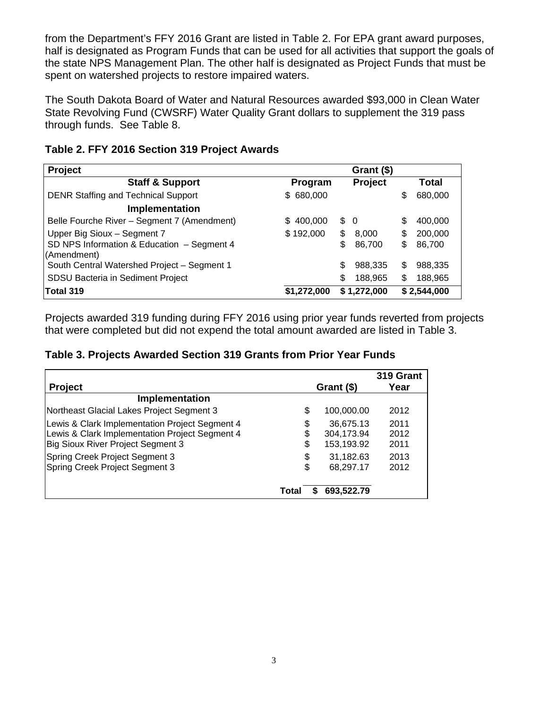from the Department's FFY 2016 Grant are listed in Table 2. For EPA grant award purposes, half is designated as Program Funds that can be used for all activities that support the goals of the state NPS Management Plan. The other half is designated as Project Funds that must be spent on watershed projects to restore impaired waters.

The South Dakota Board of Water and Natural Resources awarded \$93,000 in Clean Water State Revolving Fund (CWSRF) Water Quality Grant dollars to supplement the 319 pass through funds. See Table 8.

| <b>Project</b>                              |               | Grant (\$)    |    |             |
|---------------------------------------------|---------------|---------------|----|-------------|
| <b>Staff &amp; Support</b>                  | Program       | Project       |    | Total       |
| <b>DENR Staffing and Technical Support</b>  | \$ 680,000    |               | \$ | 680,000     |
| Implementation                              |               |               |    |             |
| Belle Fourche River - Segment 7 (Amendment) | 400,000<br>S. | $\frac{1}{2}$ | S  | 400,000     |
| Upper Big Sioux - Segment 7                 | \$192,000     | \$<br>8,000   | \$ | 200,000     |
| SD NPS Information & Education - Segment 4  |               | \$<br>86,700  | \$ | 86,700      |
| (Amendment)                                 |               |               |    |             |
| South Central Watershed Project - Segment 1 |               | \$<br>988,335 | \$ | 988,335     |
| SDSU Bacteria in Sediment Project           |               | \$<br>188.965 | \$ | 188,965     |
| Total 319                                   | \$1,272,000   | \$1,272,000   |    | \$2,544,000 |

#### **Table 2. FFY 2016 Section 319 Project Awards**

Projects awarded 319 funding during FFY 2016 using prior year funds reverted from projects that were completed but did not expend the total amount awarded are listed in Table 3.

#### **Table 3. Projects Awarded Section 319 Grants from Prior Year Funds**

|                                                |       |            | 319 Grant |
|------------------------------------------------|-------|------------|-----------|
| Project                                        |       | Grant (\$) | Year      |
| <b>Implementation</b>                          |       |            |           |
| Northeast Glacial Lakes Project Segment 3      | \$    | 100,000.00 | 2012      |
| Lewis & Clark Implementation Project Segment 4 | \$    | 36,675.13  | 2011      |
| Lewis & Clark Implementation Project Segment 4 | \$    | 304,173.94 | 2012      |
| Big Sioux River Project Segment 3              | \$    | 153,193.92 | 2011      |
| Spring Creek Project Segment 3                 | \$    | 31,182.63  | 2013      |
| Spring Creek Project Segment 3                 | \$    | 68,297.17  | 2012      |
|                                                | Total | 693,522.79 |           |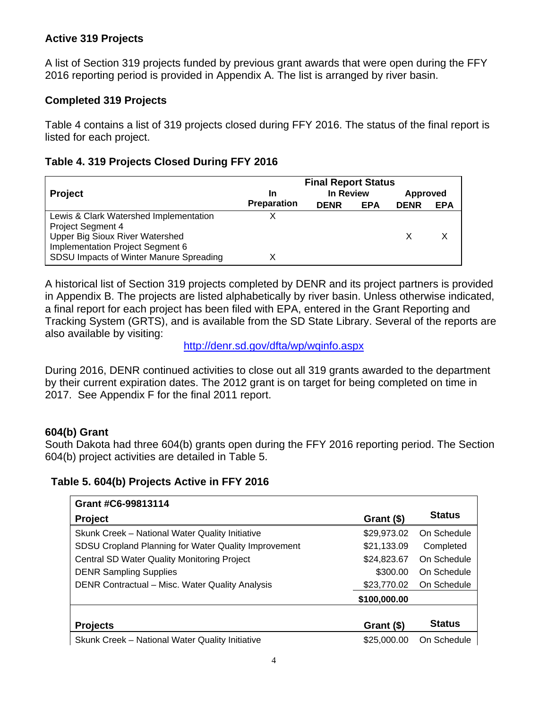#### **Active 319 Projects**

A list of Section 319 projects funded by previous grant awards that were open during the FFY 2016 reporting period is provided in Appendix A. The list is arranged by river basin.

#### **Completed 319 Projects**

Table 4 contains a list of 319 projects closed during FFY 2016. The status of the final report is listed for each project.

#### **Table 4. 319 Projects Closed During FFY 2016**

|                                         | <b>Final Report Status</b> |             |            |             |            |
|-----------------------------------------|----------------------------|-------------|------------|-------------|------------|
| <b>Project</b>                          | In                         | In Review   |            | Approved    |            |
|                                         | <b>Preparation</b>         | <b>DENR</b> | <b>EPA</b> | <b>DENR</b> | <b>EPA</b> |
| Lewis & Clark Watershed Implementation  |                            |             |            |             |            |
| Project Segment 4                       |                            |             |            |             |            |
| Upper Big Sioux River Watershed         |                            |             |            |             |            |
| Implementation Project Segment 6        |                            |             |            |             |            |
| SDSU Impacts of Winter Manure Spreading |                            |             |            |             |            |

A historical list of Section 319 projects completed by DENR and its project partners is provided in Appendix B. The projects are listed alphabetically by river basin. Unless otherwise indicated, a final report for each project has been filed with EPA, entered in the Grant Reporting and Tracking System (GRTS), and is available from the SD State Library. Several of the reports are also available by visiting:

http://denr.sd.gov/dfta/wp/wqinfo.aspx

During 2016, DENR continued activities to close out all 319 grants awarded to the department by their current expiration dates. The 2012 grant is on target for being completed on time in 2017. See Appendix F for the final 2011 report.

#### **604(b) Grant**

South Dakota had three 604(b) grants open during the FFY 2016 reporting period. The Section 604(b) project activities are detailed in Table 5.

#### **Table 5. 604(b) Projects Active in FFY 2016**

| Grant #C6-99813114                                   |              |               |
|------------------------------------------------------|--------------|---------------|
| <b>Project</b>                                       | Grant (\$)   | <b>Status</b> |
| Skunk Creek - National Water Quality Initiative      | \$29,973.02  | On Schedule   |
| SDSU Cropland Planning for Water Quality Improvement | \$21,133.09  | Completed     |
| <b>Central SD Water Quality Monitoring Project</b>   | \$24,823.67  | On Schedule   |
| <b>DENR Sampling Supplies</b>                        | \$300.00     | On Schedule   |
| DENR Contractual - Misc. Water Quality Analysis      | \$23,770.02  | On Schedule   |
|                                                      | \$100,000.00 |               |
|                                                      |              |               |
| <b>Projects</b>                                      | Grant (\$)   | <b>Status</b> |
| Skunk Creek - National Water Quality Initiative      | \$25,000,00  | On Schedule   |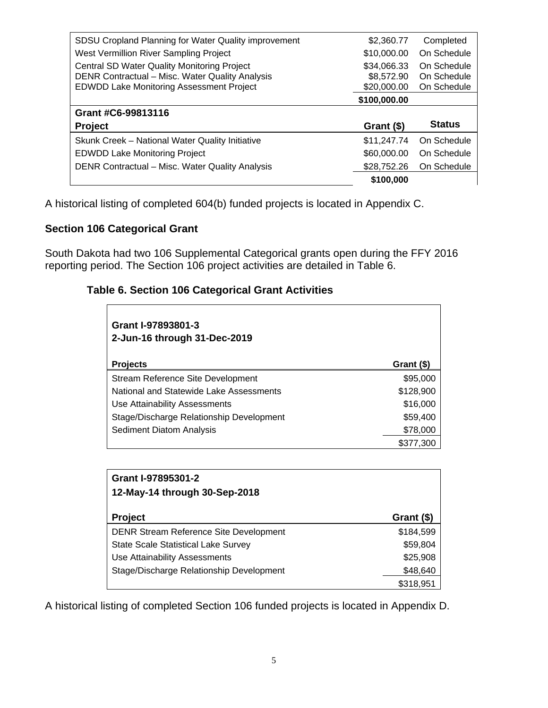| SDSU Cropland Planning for Water Quality improvement                                                                                                     | \$2,360.77                               | Completed                                 |
|----------------------------------------------------------------------------------------------------------------------------------------------------------|------------------------------------------|-------------------------------------------|
| West Vermillion River Sampling Project                                                                                                                   | \$10,000.00                              | On Schedule                               |
| <b>Central SD Water Quality Monitoring Project</b><br>DENR Contractual - Misc. Water Quality Analysis<br><b>EDWDD Lake Monitoring Assessment Project</b> | \$34,066.33<br>\$8,572.90<br>\$20,000.00 | On Schedule<br>On Schedule<br>On Schedule |
|                                                                                                                                                          | \$100,000.00                             |                                           |
| Grant #C6-99813116                                                                                                                                       |                                          |                                           |
|                                                                                                                                                          |                                          |                                           |
| <b>Project</b>                                                                                                                                           | Grant (\$)                               | <b>Status</b>                             |
| Skunk Creek - National Water Quality Initiative                                                                                                          | \$11,247.74                              | On Schedule                               |
| <b>EDWDD Lake Monitoring Project</b>                                                                                                                     | \$60,000.00                              | On Schedule                               |
| DENR Contractual - Misc. Water Quality Analysis                                                                                                          | \$28,752.26                              | On Schedule                               |

A historical listing of completed 604(b) funded projects is located in Appendix C.

#### **Section 106 Categorical Grant**

South Dakota had two 106 Supplemental Categorical grants open during the FFY 2016 reporting period. The Section 106 project activities are detailed in Table 6.

#### **Table 6. Section 106 Categorical Grant Activities**

| Grant I-97893801-3<br>2-Jun-16 through 31-Dec-2019 |            |
|----------------------------------------------------|------------|
| <b>Projects</b>                                    | Grant (\$) |
| Stream Reference Site Development                  | \$95,000   |
| National and Statewide Lake Assessments            | \$128,900  |
| Use Attainability Assessments                      | \$16,000   |
| Stage/Discharge Relationship Development           | \$59,400   |
| Sediment Diatom Analysis                           | \$78,000   |
|                                                    | \$377,300  |

| Grant I-97895301-2<br>12-May-14 through 30-Sep-2018 |            |
|-----------------------------------------------------|------------|
| <b>Project</b>                                      | Grant (\$) |
| <b>DENR Stream Reference Site Development</b>       | \$184,599  |
| <b>State Scale Statistical Lake Survey</b>          | \$59,804   |
| Use Attainability Assessments                       | \$25,908   |
| Stage/Discharge Relationship Development            | \$48,640   |
|                                                     | \$318,951  |

A historical listing of completed Section 106 funded projects is located in Appendix D.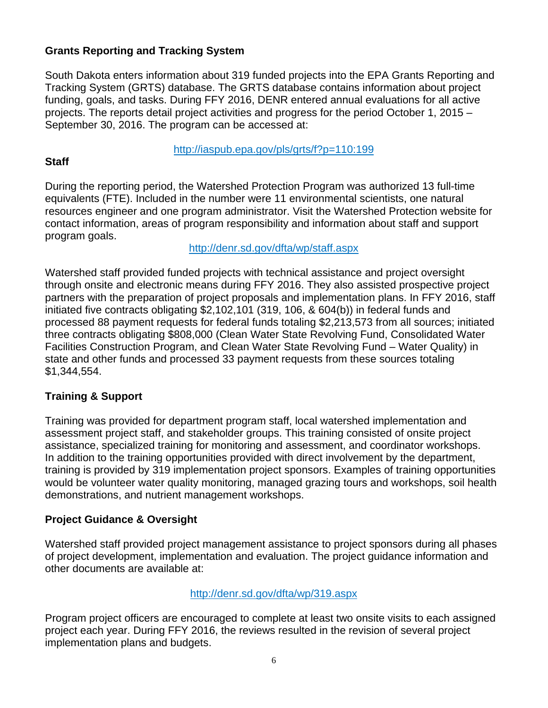#### **Grants Reporting and Tracking System**

South Dakota enters information about 319 funded projects into the EPA Grants Reporting and Tracking System (GRTS) database. The GRTS database contains information about project funding, goals, and tasks. During FFY 2016, DENR entered annual evaluations for all active projects. The reports detail project activities and progress for the period October 1, 2015 – September 30, 2016. The program can be accessed at:

#### http://iaspub.epa.gov/pls/grts/f?p=110:199

#### **Staff**

During the reporting period, the Watershed Protection Program was authorized 13 full-time equivalents (FTE). Included in the number were 11 environmental scientists, one natural resources engineer and one program administrator. Visit the Watershed Protection website for contact information, areas of program responsibility and information about staff and support program goals.

http://denr.sd.gov/dfta/wp/staff.aspx

Watershed staff provided funded projects with technical assistance and project oversight through onsite and electronic means during FFY 2016. They also assisted prospective project partners with the preparation of project proposals and implementation plans. In FFY 2016, staff initiated five contracts obligating \$2,102,101 (319, 106, & 604(b)) in federal funds and processed 88 payment requests for federal funds totaling \$2,213,573 from all sources; initiated three contracts obligating \$808,000 (Clean Water State Revolving Fund, Consolidated Water Facilities Construction Program, and Clean Water State Revolving Fund – Water Quality) in state and other funds and processed 33 payment requests from these sources totaling \$1,344,554.

#### **Training & Support**

Training was provided for department program staff, local watershed implementation and assessment project staff, and stakeholder groups. This training consisted of onsite project assistance, specialized training for monitoring and assessment, and coordinator workshops. In addition to the training opportunities provided with direct involvement by the department, training is provided by 319 implementation project sponsors. Examples of training opportunities would be volunteer water quality monitoring, managed grazing tours and workshops, soil health demonstrations, and nutrient management workshops.

#### **Project Guidance & Oversight**

Watershed staff provided project management assistance to project sponsors during all phases of project development, implementation and evaluation. The project guidance information and other documents are available at:

#### http://denr.sd.gov/dfta/wp/319.aspx

Program project officers are encouraged to complete at least two onsite visits to each assigned project each year. During FFY 2016, the reviews resulted in the revision of several project implementation plans and budgets.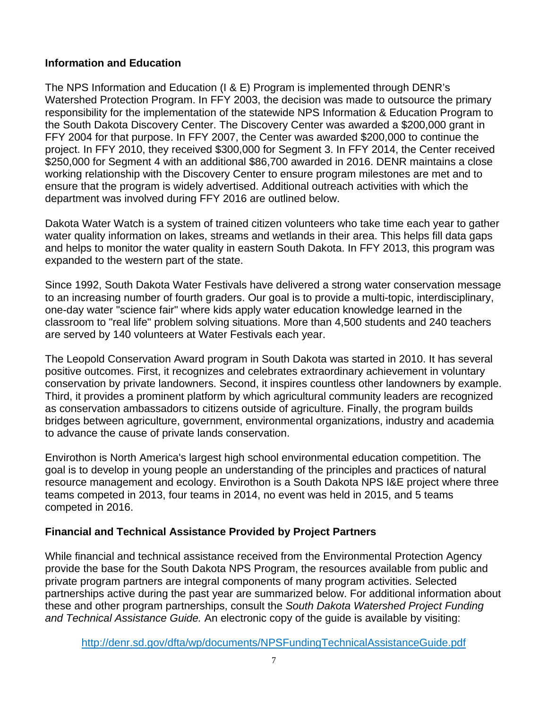#### **Information and Education**

The NPS Information and Education (I & E) Program is implemented through DENR's Watershed Protection Program. In FFY 2003, the decision was made to outsource the primary responsibility for the implementation of the statewide NPS Information & Education Program to the South Dakota Discovery Center. The Discovery Center was awarded a \$200,000 grant in FFY 2004 for that purpose. In FFY 2007, the Center was awarded \$200,000 to continue the project. In FFY 2010, they received \$300,000 for Segment 3. In FFY 2014, the Center received \$250,000 for Segment 4 with an additional \$86,700 awarded in 2016. DENR maintains a close working relationship with the Discovery Center to ensure program milestones are met and to ensure that the program is widely advertised. Additional outreach activities with which the department was involved during FFY 2016 are outlined below.

Dakota Water Watch is a system of trained citizen volunteers who take time each year to gather water quality information on lakes, streams and wetlands in their area. This helps fill data gaps and helps to monitor the water quality in eastern South Dakota. In FFY 2013, this program was expanded to the western part of the state.

Since 1992, South Dakota Water Festivals have delivered a strong water conservation message to an increasing number of fourth graders. Our goal is to provide a multi-topic, interdisciplinary, one-day water "science fair" where kids apply water education knowledge learned in the classroom to "real life" problem solving situations. More than 4,500 students and 240 teachers are served by 140 volunteers at Water Festivals each year.

The Leopold Conservation Award program in South Dakota was started in 2010. It has several positive outcomes. First, it recognizes and celebrates extraordinary achievement in voluntary conservation by private landowners. Second, it inspires countless other landowners by example. Third, it provides a prominent platform by which agricultural community leaders are recognized as conservation ambassadors to citizens outside of agriculture. Finally, the program builds bridges between agriculture, government, environmental organizations, industry and academia to advance the cause of private lands conservation.

Envirothon is North America's largest high school environmental education competition. The goal is to develop in young people an understanding of the principles and practices of natural resource management and ecology. Envirothon is a South Dakota NPS I&E project where three teams competed in 2013, four teams in 2014, no event was held in 2015, and 5 teams competed in 2016.

#### **Financial and Technical Assistance Provided by Project Partners**

While financial and technical assistance received from the Environmental Protection Agency provide the base for the South Dakota NPS Program, the resources available from public and private program partners are integral components of many program activities. Selected partnerships active during the past year are summarized below. For additional information about these and other program partnerships, consult the *South Dakota Watershed Project Funding and Technical Assistance Guide.* An electronic copy of the guide is available by visiting:

http://denr.sd.gov/dfta/wp/documents/NPSFundingTechnicalAssistanceGuide.pdf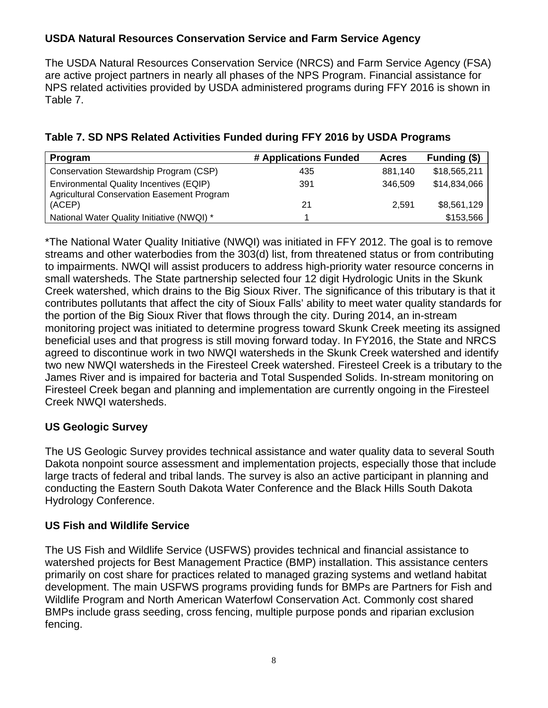#### **USDA Natural Resources Conservation Service and Farm Service Agency**

The USDA Natural Resources Conservation Service (NRCS) and Farm Service Agency (FSA) are active project partners in nearly all phases of the NPS Program. Financial assistance for NPS related activities provided by USDA administered programs during FFY 2016 is shown in Table 7.

| Program                                                                                      | # Applications Funded | <b>Acres</b> | Funding (\$) |
|----------------------------------------------------------------------------------------------|-----------------------|--------------|--------------|
| Conservation Stewardship Program (CSP)                                                       | 435                   | 881.140      | \$18,565,211 |
| Environmental Quality Incentives (EQIP)<br><b>Agricultural Conservation Easement Program</b> | 391                   | 346,509      | \$14,834,066 |
| (ACEP)                                                                                       | 21                    | 2.591        | \$8,561,129  |
| National Water Quality Initiative (NWQI) *                                                   |                       |              | \$153,566    |

#### **Table 7. SD NPS Related Activities Funded during FFY 2016 by USDA Programs**

\*The National Water Quality Initiative (NWQI) was initiated in FFY 2012. The goal is to remove streams and other waterbodies from the 303(d) list, from threatened status or from contributing to impairments. NWQI will assist producers to address high-priority water resource concerns in small watersheds. The State partnership selected four 12 digit Hydrologic Units in the Skunk Creek watershed, which drains to the Big Sioux River. The significance of this tributary is that it contributes pollutants that affect the city of Sioux Falls' ability to meet water quality standards for the portion of the Big Sioux River that flows through the city. During 2014, an in-stream monitoring project was initiated to determine progress toward Skunk Creek meeting its assigned beneficial uses and that progress is still moving forward today. In FY2016, the State and NRCS agreed to discontinue work in two NWQI watersheds in the Skunk Creek watershed and identify two new NWQI watersheds in the Firesteel Creek watershed. Firesteel Creek is a tributary to the James River and is impaired for bacteria and Total Suspended Solids. In-stream monitoring on Firesteel Creek began and planning and implementation are currently ongoing in the Firesteel Creek NWQI watersheds.

#### **US Geologic Survey**

The US Geologic Survey provides technical assistance and water quality data to several South Dakota nonpoint source assessment and implementation projects, especially those that include large tracts of federal and tribal lands. The survey is also an active participant in planning and conducting the Eastern South Dakota Water Conference and the Black Hills South Dakota Hydrology Conference.

#### **US Fish and Wildlife Service**

The US Fish and Wildlife Service (USFWS) provides technical and financial assistance to watershed projects for Best Management Practice (BMP) installation. This assistance centers primarily on cost share for practices related to managed grazing systems and wetland habitat development. The main USFWS programs providing funds for BMPs are Partners for Fish and Wildlife Program and North American Waterfowl Conservation Act. Commonly cost shared BMPs include grass seeding, cross fencing, multiple purpose ponds and riparian exclusion fencing.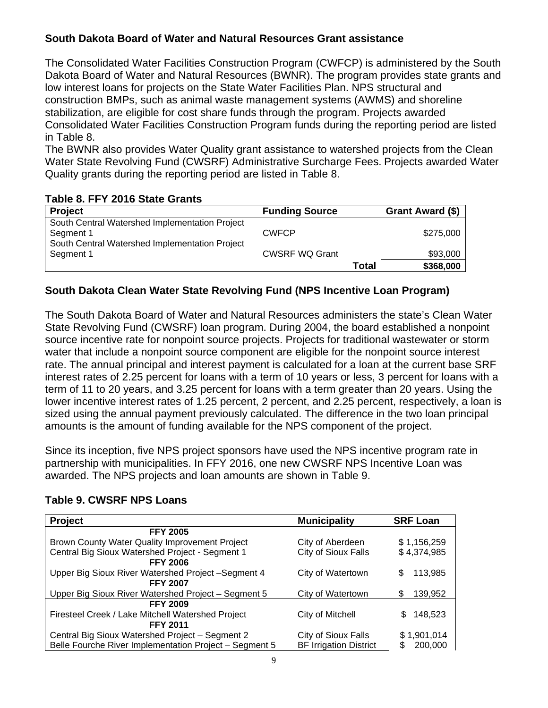#### **South Dakota Board of Water and Natural Resources Grant assistance**

The Consolidated Water Facilities Construction Program (CWFCP) is administered by the South Dakota Board of Water and Natural Resources (BWNR). The program provides state grants and low interest loans for projects on the State Water Facilities Plan. NPS structural and construction BMPs, such as animal waste management systems (AWMS) and shoreline stabilization, are eligible for cost share funds through the program. Projects awarded Consolidated Water Facilities Construction Program funds during the reporting period are listed in Table 8.

The BWNR also provides Water Quality grant assistance to watershed projects from the Clean Water State Revolving Fund (CWSRF) Administrative Surcharge Fees. Projects awarded Water Quality grants during the reporting period are listed in Table 8.

#### **Table 8. FFY 2016 State Grants**

| <b>Project</b>                                                                                                | <b>Funding Source</b> |              | Grant Award (\$) |
|---------------------------------------------------------------------------------------------------------------|-----------------------|--------------|------------------|
| South Central Watershed Implementation Project<br>Segment 1<br>South Central Watershed Implementation Project | <b>CWFCP</b>          |              | \$275,000        |
| Segment 1                                                                                                     | <b>CWSRF WQ Grant</b> |              | \$93,000         |
|                                                                                                               |                       | <b>Total</b> | \$368,000        |

#### **South Dakota Clean Water State Revolving Fund (NPS Incentive Loan Program)**

The South Dakota Board of Water and Natural Resources administers the state's Clean Water State Revolving Fund (CWSRF) loan program. During 2004, the board established a nonpoint source incentive rate for nonpoint source projects. Projects for traditional wastewater or storm water that include a nonpoint source component are eligible for the nonpoint source interest rate. The annual principal and interest payment is calculated for a loan at the current base SRF interest rates of 2.25 percent for loans with a term of 10 years or less, 3 percent for loans with a term of 11 to 20 years, and 3.25 percent for loans with a term greater than 20 years. Using the lower incentive interest rates of 1.25 percent, 2 percent, and 2.25 percent, respectively, a loan is sized using the annual payment previously calculated. The difference in the two loan principal amounts is the amount of funding available for the NPS component of the project.

Since its inception, five NPS project sponsors have used the NPS incentive program rate in partnership with municipalities. In FFY 2016, one new CWSRF NPS Incentive Loan was awarded. The NPS projects and loan amounts are shown in Table 9.

| <b>Project</b>                                         | <b>Municipality</b>           | <b>SRF Loan</b> |
|--------------------------------------------------------|-------------------------------|-----------------|
| <b>FFY 2005</b>                                        |                               |                 |
| Brown County Water Quality Improvement Project         | City of Aberdeen              | \$1,156,259     |
| Central Big Sioux Watershed Project - Segment 1        | City of Sioux Falls           | \$4,374,985     |
| <b>FFY 2006</b>                                        |                               |                 |
| Upper Big Sioux River Watershed Project -Segment 4     | City of Watertown             | 113,985<br>S    |
| <b>FFY 2007</b>                                        |                               |                 |
| Upper Big Sioux River Watershed Project - Segment 5    | City of Watertown             | 139,952<br>S    |
| <b>FFY 2009</b>                                        |                               |                 |
| Firesteel Creek / Lake Mitchell Watershed Project      | City of Mitchell              | 148,523<br>\$.  |
| <b>FFY 2011</b>                                        |                               |                 |
| Central Big Sioux Watershed Project - Segment 2        | City of Sioux Falls           | \$1,901,014     |
| Belle Fourche River Implementation Project - Segment 5 | <b>BF Irrigation District</b> | 200,000         |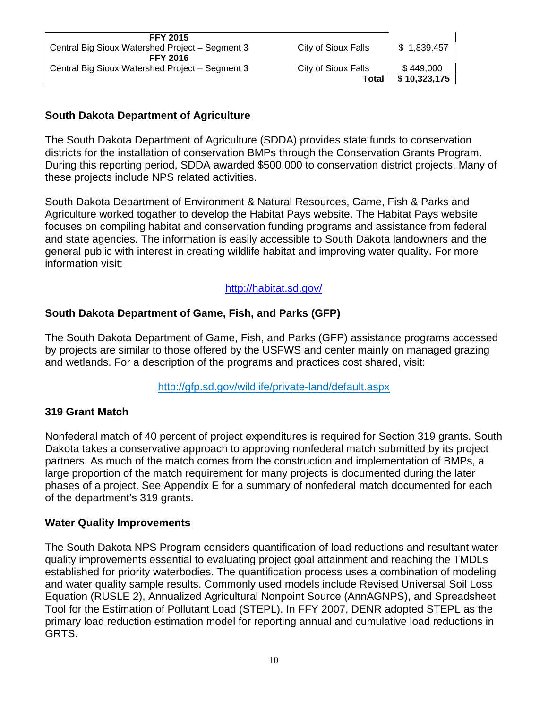| <b>FFY 2015</b>                                 |                     |              |
|-------------------------------------------------|---------------------|--------------|
| Central Big Sioux Watershed Project – Segment 3 | City of Sioux Falls | \$1,839,457  |
| <b>FFY 2016</b>                                 |                     |              |
| Central Big Sioux Watershed Project - Segment 3 | City of Sioux Falls | \$449,000    |
|                                                 | Total               | \$10,323,175 |
|                                                 |                     |              |

#### **South Dakota Department of Agriculture**

The South Dakota Department of Agriculture (SDDA) provides state funds to conservation districts for the installation of conservation BMPs through the Conservation Grants Program. During this reporting period, SDDA awarded \$500,000 to conservation district projects. Many of these projects include NPS related activities.

South Dakota Department of Environment & Natural Resources, Game, Fish & Parks and Agriculture worked togather to develop the Habitat Pays website. The Habitat Pays website focuses on compiling habitat and conservation funding programs and assistance from federal and state agencies. The information is easily accessible to South Dakota landowners and the general public with interest in creating wildlife habitat and improving water quality. For more information visit:

#### http://habitat.sd.gov/

#### **South Dakota Department of Game, Fish, and Parks (GFP)**

The South Dakota Department of Game, Fish, and Parks (GFP) assistance programs accessed by projects are similar to those offered by the USFWS and center mainly on managed grazing and wetlands. For a description of the programs and practices cost shared, visit:

#### http://gfp.sd.gov/wildlife/private-land/default.aspx

#### **319 Grant Match**

Nonfederal match of 40 percent of project expenditures is required for Section 319 grants. South Dakota takes a conservative approach to approving nonfederal match submitted by its project partners. As much of the match comes from the construction and implementation of BMPs, a large proportion of the match requirement for many projects is documented during the later phases of a project. See Appendix E for a summary of nonfederal match documented for each of the department's 319 grants.

#### **Water Quality Improvements**

The South Dakota NPS Program considers quantification of load reductions and resultant water quality improvements essential to evaluating project goal attainment and reaching the TMDLs established for priority waterbodies. The quantification process uses a combination of modeling and water quality sample results. Commonly used models include Revised Universal Soil Loss Equation (RUSLE 2), Annualized Agricultural Nonpoint Source (AnnAGNPS), and Spreadsheet Tool for the Estimation of Pollutant Load (STEPL). In FFY 2007, DENR adopted STEPL as the primary load reduction estimation model for reporting annual and cumulative load reductions in GRTS.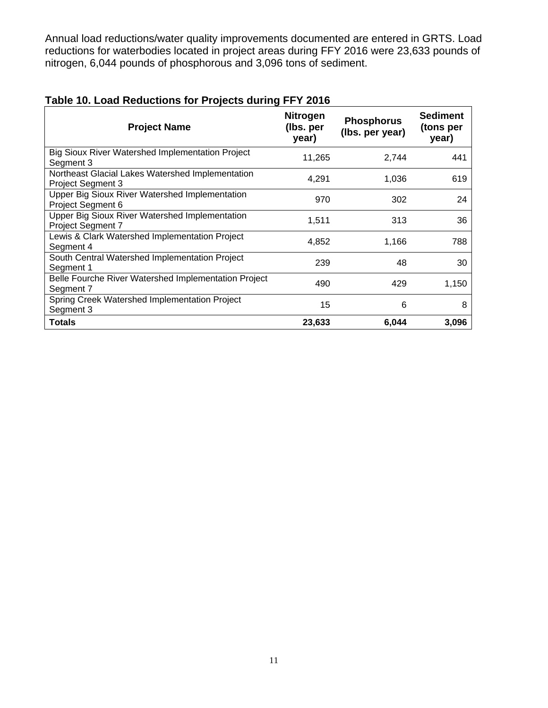Annual load reductions/water quality improvements documented are entered in GRTS. Load reductions for waterbodies located in project areas during FFY 2016 were 23,633 pounds of nitrogen, 6,044 pounds of phosphorous and 3,096 tons of sediment.

| <b>Project Name</b>                                                          | <b>Nitrogen</b><br>(Ibs. per<br>year) | <b>Phosphorus</b><br>(Ibs. per year) | <b>Sediment</b><br>(tons per<br>year) |
|------------------------------------------------------------------------------|---------------------------------------|--------------------------------------|---------------------------------------|
| Big Sioux River Watershed Implementation Project<br>Segment 3                | 11,265                                | 2,744                                | 441                                   |
| Northeast Glacial Lakes Watershed Implementation<br><b>Project Segment 3</b> | 4,291                                 | 1,036                                | 619                                   |
| Upper Big Sioux River Watershed Implementation<br>Project Segment 6          | 970                                   | 302                                  | 24                                    |
| Upper Big Sioux River Watershed Implementation<br><b>Project Segment 7</b>   | 1,511                                 | 313                                  | 36                                    |
| Lewis & Clark Watershed Implementation Project<br>Segment 4                  | 4,852                                 | 1,166                                | 788                                   |
| South Central Watershed Implementation Project<br>Segment 1                  | 239                                   | 48                                   | 30                                    |
| Belle Fourche River Watershed Implementation Project<br>Segment 7            | 490                                   | 429                                  | 1,150                                 |
| Spring Creek Watershed Implementation Project<br>Segment 3                   | 15                                    | 6                                    | 8                                     |
| <b>Totals</b>                                                                | 23,633                                | 6,044                                | 3,096                                 |

#### **Table 10. Load Reductions for Projects during FFY 2016**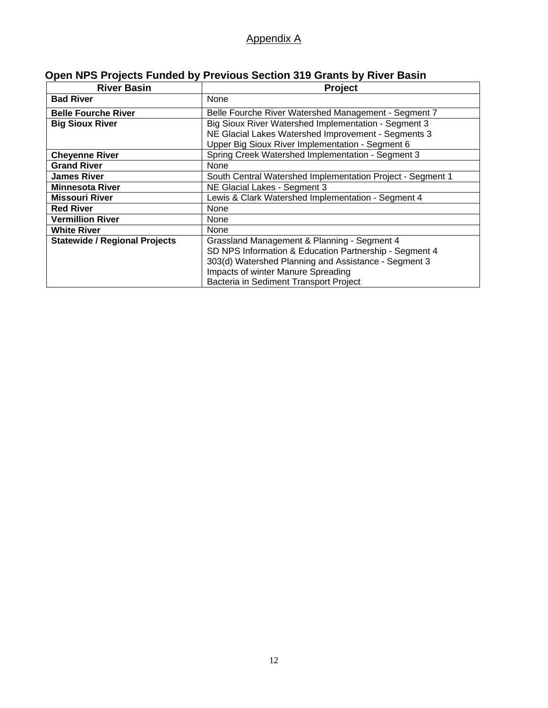#### Appendix A

## **Open NPS Projects Funded by Previous Section 319 Grants by River Basin**

| <b>River Basin</b>                   | <b>Project</b>                                             |  |  |
|--------------------------------------|------------------------------------------------------------|--|--|
| <b>Bad River</b>                     | None                                                       |  |  |
| <b>Belle Fourche River</b>           | Belle Fourche River Watershed Management - Segment 7       |  |  |
| <b>Big Sioux River</b>               | Big Sioux River Watershed Implementation - Segment 3       |  |  |
|                                      | NE Glacial Lakes Watershed Improvement - Segments 3        |  |  |
|                                      | Upper Big Sioux River Implementation - Segment 6           |  |  |
| <b>Cheyenne River</b>                | Spring Creek Watershed Implementation - Segment 3          |  |  |
| <b>Grand River</b>                   | None                                                       |  |  |
| <b>James River</b>                   | South Central Watershed Implementation Project - Segment 1 |  |  |
| <b>Minnesota River</b>               | NE Glacial Lakes - Segment 3                               |  |  |
| <b>Missouri River</b>                | Lewis & Clark Watershed Implementation - Segment 4         |  |  |
| <b>Red River</b>                     | None                                                       |  |  |
| <b>Vermillion River</b>              | None                                                       |  |  |
| <b>White River</b>                   | None                                                       |  |  |
| <b>Statewide / Regional Projects</b> | Grassland Management & Planning - Segment 4                |  |  |
|                                      | SD NPS Information & Education Partnership - Segment 4     |  |  |
|                                      | 303(d) Watershed Planning and Assistance - Segment 3       |  |  |
|                                      | Impacts of winter Manure Spreading                         |  |  |
|                                      | Bacteria in Sediment Transport Project                     |  |  |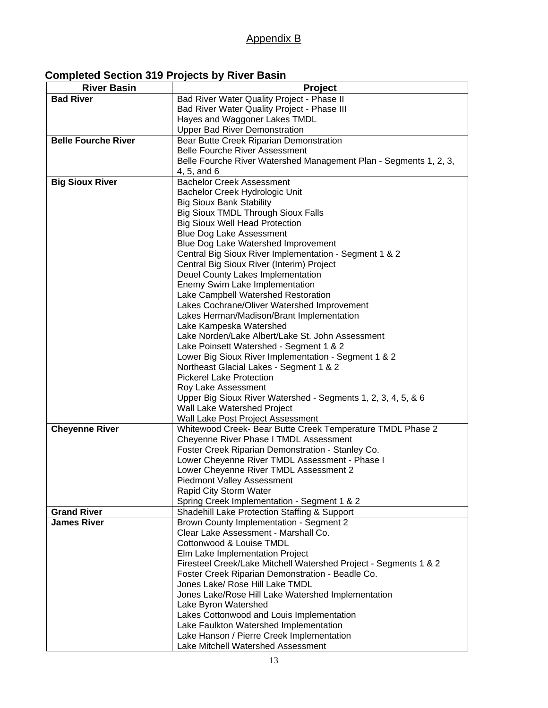#### Appendix B

| <b>Completed Section 319 Projects by River Basin</b> |  |
|------------------------------------------------------|--|
|------------------------------------------------------|--|

| <b>River Basin</b>         | <b>Project</b>                                                    |  |  |  |
|----------------------------|-------------------------------------------------------------------|--|--|--|
| <b>Bad River</b>           | Bad River Water Quality Project - Phase II                        |  |  |  |
|                            | Bad River Water Quality Project - Phase III                       |  |  |  |
|                            | Hayes and Waggoner Lakes TMDL                                     |  |  |  |
|                            | <b>Upper Bad River Demonstration</b>                              |  |  |  |
| <b>Belle Fourche River</b> | Bear Butte Creek Riparian Demonstration                           |  |  |  |
|                            | <b>Belle Fourche River Assessment</b>                             |  |  |  |
|                            | Belle Fourche River Watershed Management Plan - Segments 1, 2, 3, |  |  |  |
|                            | 4, 5, and 6                                                       |  |  |  |
| <b>Big Sioux River</b>     | <b>Bachelor Creek Assessment</b>                                  |  |  |  |
|                            | Bachelor Creek Hydrologic Unit                                    |  |  |  |
|                            | <b>Big Sioux Bank Stability</b>                                   |  |  |  |
|                            | <b>Big Sioux TMDL Through Sioux Falls</b>                         |  |  |  |
|                            | <b>Big Sioux Well Head Protection</b>                             |  |  |  |
|                            | <b>Blue Dog Lake Assessment</b>                                   |  |  |  |
|                            | Blue Dog Lake Watershed Improvement                               |  |  |  |
|                            | Central Big Sioux River Implementation - Segment 1 & 2            |  |  |  |
|                            | Central Big Sioux River (Interim) Project                         |  |  |  |
|                            | Deuel County Lakes Implementation                                 |  |  |  |
|                            | Enemy Swim Lake Implementation                                    |  |  |  |
|                            | Lake Campbell Watershed Restoration                               |  |  |  |
|                            | Lakes Cochrane/Oliver Watershed Improvement                       |  |  |  |
|                            | Lakes Herman/Madison/Brant Implementation                         |  |  |  |
|                            | Lake Kampeska Watershed                                           |  |  |  |
|                            | Lake Norden/Lake Albert/Lake St. John Assessment                  |  |  |  |
|                            | Lake Poinsett Watershed - Segment 1 & 2                           |  |  |  |
|                            | Lower Big Sioux River Implementation - Segment 1 & 2              |  |  |  |
|                            | Northeast Glacial Lakes - Segment 1 & 2                           |  |  |  |
|                            | <b>Pickerel Lake Protection</b>                                   |  |  |  |
|                            | Roy Lake Assessment                                               |  |  |  |
|                            | Upper Big Sioux River Watershed - Segments 1, 2, 3, 4, 5, & 6     |  |  |  |
|                            | Wall Lake Watershed Project                                       |  |  |  |
|                            | Wall Lake Post Project Assessment                                 |  |  |  |
| <b>Cheyenne River</b>      | Whitewood Creek- Bear Butte Creek Temperature TMDL Phase 2        |  |  |  |
|                            | Cheyenne River Phase I TMDL Assessment                            |  |  |  |
|                            | Foster Creek Riparian Demonstration - Stanley Co.                 |  |  |  |
|                            | Lower Cheyenne River TMDL Assessment - Phase I                    |  |  |  |
|                            | Lower Cheyenne River TMDL Assessment 2                            |  |  |  |
|                            | <b>Piedmont Valley Assessment</b>                                 |  |  |  |
|                            | Rapid City Storm Water                                            |  |  |  |
|                            | Spring Creek Implementation - Segment 1 & 2                       |  |  |  |
| <b>Grand River</b>         | Shadehill Lake Protection Staffing & Support                      |  |  |  |
| <b>James River</b>         | Brown County Implementation - Segment 2                           |  |  |  |
|                            | Clear Lake Assessment - Marshall Co.                              |  |  |  |
|                            | Cottonwood & Louise TMDL                                          |  |  |  |
|                            | Elm Lake Implementation Project                                   |  |  |  |
|                            | Firesteel Creek/Lake Mitchell Watershed Project - Segments 1 & 2  |  |  |  |
|                            | Foster Creek Riparian Demonstration - Beadle Co.                  |  |  |  |
|                            | Jones Lake/ Rose Hill Lake TMDL                                   |  |  |  |
|                            | Jones Lake/Rose Hill Lake Watershed Implementation                |  |  |  |
|                            | Lake Byron Watershed                                              |  |  |  |
|                            | Lakes Cottonwood and Louis Implementation                         |  |  |  |
|                            | Lake Faulkton Watershed Implementation                            |  |  |  |
|                            | Lake Hanson / Pierre Creek Implementation                         |  |  |  |
|                            | Lake Mitchell Watershed Assessment                                |  |  |  |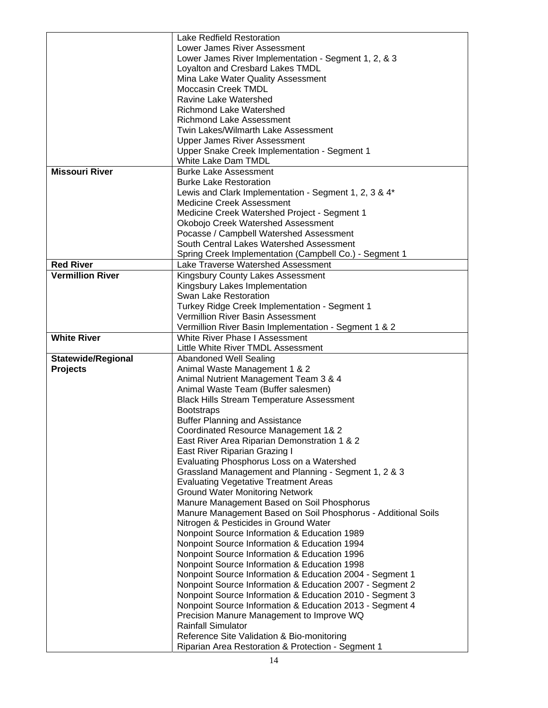|                           | Lake Redfield Restoration                                               |  |  |
|---------------------------|-------------------------------------------------------------------------|--|--|
|                           | Lower James River Assessment                                            |  |  |
|                           | Lower James River Implementation - Segment 1, 2, & 3                    |  |  |
|                           | Loyalton and Cresbard Lakes TMDL                                        |  |  |
|                           | Mina Lake Water Quality Assessment                                      |  |  |
|                           | <b>Moccasin Creek TMDL</b>                                              |  |  |
|                           | Ravine Lake Watershed                                                   |  |  |
|                           | <b>Richmond Lake Watershed</b>                                          |  |  |
|                           | Richmond Lake Assessment                                                |  |  |
|                           | Twin Lakes/Wilmarth Lake Assessment                                     |  |  |
|                           | <b>Upper James River Assessment</b>                                     |  |  |
|                           | Upper Snake Creek Implementation - Segment 1                            |  |  |
|                           | White Lake Dam TMDL                                                     |  |  |
| <b>Missouri River</b>     | <b>Burke Lake Assessment</b>                                            |  |  |
|                           | <b>Burke Lake Restoration</b>                                           |  |  |
|                           | Lewis and Clark Implementation - Segment 1, 2, 3 & 4*                   |  |  |
|                           | <b>Medicine Creek Assessment</b>                                        |  |  |
|                           | Medicine Creek Watershed Project - Segment 1                            |  |  |
|                           | Okobojo Creek Watershed Assessment                                      |  |  |
|                           | Pocasse / Campbell Watershed Assessment                                 |  |  |
|                           | South Central Lakes Watershed Assessment                                |  |  |
|                           | Spring Creek Implementation (Campbell Co.) - Segment 1                  |  |  |
| <b>Red River</b>          | Lake Traverse Watershed Assessment                                      |  |  |
| <b>Vermillion River</b>   | Kingsbury County Lakes Assessment                                       |  |  |
|                           | Kingsbury Lakes Implementation                                          |  |  |
|                           | <b>Swan Lake Restoration</b>                                            |  |  |
|                           | Turkey Ridge Creek Implementation - Segment 1                           |  |  |
|                           | Vermillion River Basin Assessment                                       |  |  |
|                           | Vermillion River Basin Implementation - Segment 1 & 2                   |  |  |
|                           |                                                                         |  |  |
|                           |                                                                         |  |  |
| <b>White River</b>        | White River Phase I Assessment                                          |  |  |
|                           | Little White River TMDL Assessment                                      |  |  |
| <b>Statewide/Regional</b> | <b>Abandoned Well Sealing</b>                                           |  |  |
| <b>Projects</b>           | Animal Waste Management 1 & 2                                           |  |  |
|                           | Animal Nutrient Management Team 3 & 4                                   |  |  |
|                           | Animal Waste Team (Buffer salesmen)                                     |  |  |
|                           | <b>Black Hills Stream Temperature Assessment</b>                        |  |  |
|                           | <b>Bootstraps</b>                                                       |  |  |
|                           | <b>Buffer Planning and Assistance</b>                                   |  |  |
|                           | Coordinated Resource Management 1& 2                                    |  |  |
|                           | East River Area Riparian Demonstration 1 & 2                            |  |  |
|                           | East River Riparian Grazing I                                           |  |  |
|                           | Evaluating Phosphorus Loss on a Watershed                               |  |  |
|                           | Grassland Management and Planning - Segment 1, 2 & 3                    |  |  |
|                           | <b>Evaluating Vegetative Treatment Areas</b>                            |  |  |
|                           | <b>Ground Water Monitoring Network</b>                                  |  |  |
|                           | Manure Management Based on Soil Phosphorus                              |  |  |
|                           | Manure Management Based on Soil Phosphorus - Additional Soils           |  |  |
|                           | Nitrogen & Pesticides in Ground Water                                   |  |  |
|                           | Nonpoint Source Information & Education 1989                            |  |  |
|                           | Nonpoint Source Information & Education 1994                            |  |  |
|                           | Nonpoint Source Information & Education 1996                            |  |  |
|                           | Nonpoint Source Information & Education 1998                            |  |  |
|                           | Nonpoint Source Information & Education 2004 - Segment 1                |  |  |
|                           | Nonpoint Source Information & Education 2007 - Segment 2                |  |  |
|                           | Nonpoint Source Information & Education 2010 - Segment 3                |  |  |
|                           | Nonpoint Source Information & Education 2013 - Segment 4                |  |  |
|                           | Precision Manure Management to Improve WQ                               |  |  |
|                           | <b>Rainfall Simulator</b><br>Reference Site Validation & Bio-monitoring |  |  |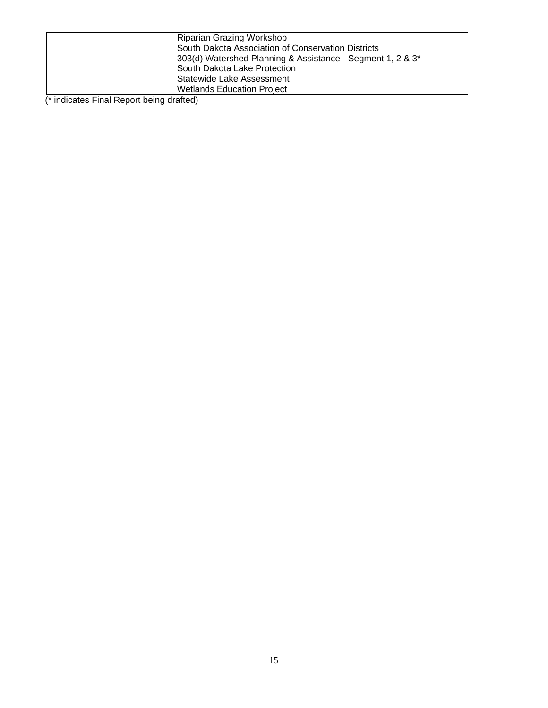| Riparian Grazing Workshop                                              |
|------------------------------------------------------------------------|
| South Dakota Association of Conservation Districts                     |
| 303(d) Watershed Planning & Assistance - Segment 1, 2 & 3 <sup>*</sup> |
| South Dakota Lake Protection                                           |
| Statewide Lake Assessment                                              |
| <b>Wetlands Education Project</b>                                      |

(\* indicates Final Report being drafted)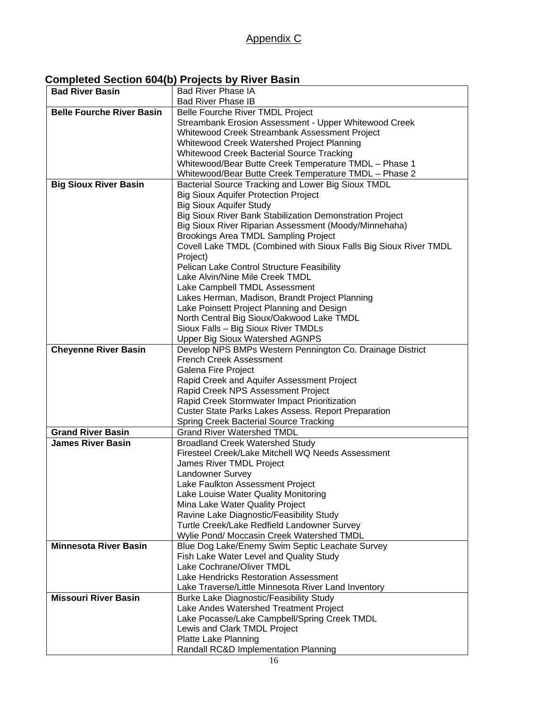#### **Completed Section 604(b) Projects by River Basin**

| <b>Bad River Basin</b>           | <b>Bad River Phase IA</b>                                        |
|----------------------------------|------------------------------------------------------------------|
|                                  | <b>Bad River Phase IB</b>                                        |
| <b>Belle Fourche River Basin</b> | Belle Fourche River TMDL Project                                 |
|                                  | Streambank Erosion Assessment - Upper Whitewood Creek            |
|                                  | Whitewood Creek Streambank Assessment Project                    |
|                                  | Whitewood Creek Watershed Project Planning                       |
|                                  | Whitewood Creek Bacterial Source Tracking                        |
|                                  | Whitewood/Bear Butte Creek Temperature TMDL - Phase 1            |
|                                  | Whitewood/Bear Butte Creek Temperature TMDL - Phase 2            |
| <b>Big Sioux River Basin</b>     | Bacterial Source Tracking and Lower Big Sioux TMDL               |
|                                  | <b>Big Sioux Aquifer Protection Project</b>                      |
|                                  | <b>Big Sioux Aquifer Study</b>                                   |
|                                  | Big Sioux River Bank Stabilization Demonstration Project         |
|                                  | Big Sioux River Riparian Assessment (Moody/Minnehaha)            |
|                                  | <b>Brookings Area TMDL Sampling Project</b>                      |
|                                  | Covell Lake TMDL (Combined with Sioux Falls Big Sioux River TMDL |
|                                  | Project)                                                         |
|                                  | Pelican Lake Control Structure Feasibility                       |
|                                  | Lake Alvin/Nine Mile Creek TMDL                                  |
|                                  | Lake Campbell TMDL Assessment                                    |
|                                  | Lakes Herman, Madison, Brandt Project Planning                   |
|                                  | Lake Poinsett Project Planning and Design                        |
|                                  | North Central Big Sioux/Oakwood Lake TMDL                        |
|                                  | Sioux Falls - Big Sioux River TMDLs                              |
|                                  | <b>Upper Big Sioux Watershed AGNPS</b>                           |
| <b>Cheyenne River Basin</b>      | Develop NPS BMPs Western Pennington Co. Drainage District        |
|                                  | <b>French Creek Assessment</b>                                   |
|                                  | Galena Fire Project                                              |
|                                  | Rapid Creek and Aquifer Assessment Project                       |
|                                  | Rapid Creek NPS Assessment Project                               |
|                                  | Rapid Creek Stormwater Impact Prioritization                     |
|                                  | <b>Custer State Parks Lakes Assess. Report Preparation</b>       |
|                                  | <b>Spring Creek Bacterial Source Tracking</b>                    |
| <b>Grand River Basin</b>         | <b>Grand River Watershed TMDL</b>                                |
| <b>James River Basin</b>         | <b>Broadland Creek Watershed Study</b>                           |
|                                  | Firesteel Creek/Lake Mitchell WQ Needs Assessment                |
|                                  | James River TMDL Project                                         |
|                                  | Landowner Survey                                                 |
|                                  | Lake Faulkton Assessment Project                                 |
|                                  | Lake Louise Water Quality Monitoring                             |
|                                  | Mina Lake Water Quality Project                                  |
|                                  | Ravine Lake Diagnostic/Feasibility Study                         |
|                                  | Turtle Creek/Lake Redfield Landowner Survey                      |
|                                  | Wylie Pond/ Moccasin Creek Watershed TMDL                        |
| <b>Minnesota River Basin</b>     | Blue Dog Lake/Enemy Swim Septic Leachate Survey                  |
|                                  | Fish Lake Water Level and Quality Study                          |
|                                  | Lake Cochrane/Oliver TMDL                                        |
|                                  | Lake Hendricks Restoration Assessment                            |
|                                  | Lake Traverse/Little Minnesota River Land Inventory              |
| <b>Missouri River Basin</b>      | Burke Lake Diagnostic/Feasibility Study                          |
|                                  | Lake Andes Watershed Treatment Project                           |
|                                  | Lake Pocasse/Lake Campbell/Spring Creek TMDL                     |
|                                  | Lewis and Clark TMDL Project                                     |
|                                  | Platte Lake Planning                                             |
|                                  | Randall RC&D Implementation Planning                             |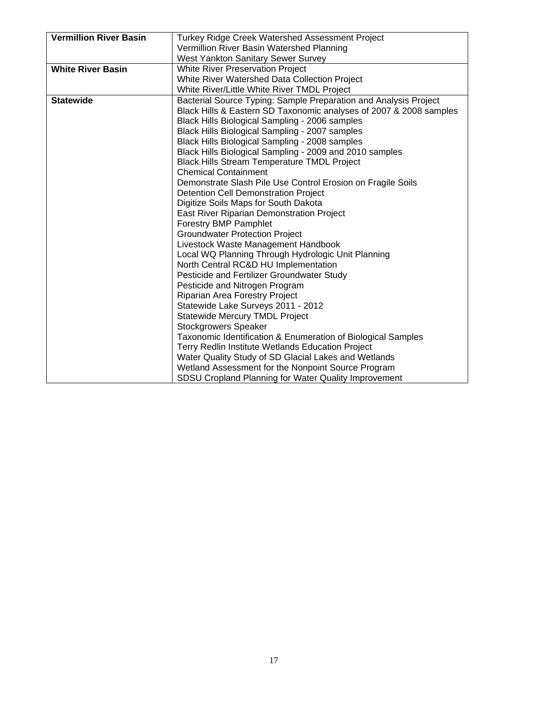| <b>Vermillion River Basin</b> | Turkey Ridge Creek Watershed Assessment Project                    |
|-------------------------------|--------------------------------------------------------------------|
|                               | Vermillion River Basin Watershed Planning                          |
|                               | <b>West Yankton Sanitary Sewer Survey</b>                          |
| <b>White River Basin</b>      | <b>White River Preservation Project</b>                            |
|                               | White River Watershed Data Collection Project                      |
|                               | White River/Little White River TMDL Project                        |
|                               |                                                                    |
| <b>Statewide</b>              | Bacterial Source Typing: Sample Preparation and Analysis Project   |
|                               | Black Hills & Eastern SD Taxonomic analyses of 2007 & 2008 samples |
|                               | Black Hills Biological Sampling - 2006 samples                     |
|                               | Black Hills Biological Sampling - 2007 samples                     |
|                               | Black Hills Biological Sampling - 2008 samples                     |
|                               | Black Hills Biological Sampling - 2009 and 2010 samples            |
|                               | <b>Black Hills Stream Temperature TMDL Project</b>                 |
|                               | <b>Chemical Containment</b>                                        |
|                               | Demonstrate Slash Pile Use Control Erosion on Fragile Soils        |
|                               | <b>Detention Cell Demonstration Project</b>                        |
|                               | Digitize Soils Maps for South Dakota                               |
|                               | East River Riparian Demonstration Project                          |
|                               | <b>Forestry BMP Pamphlet</b>                                       |
|                               | <b>Groundwater Protection Project</b>                              |
|                               | Livestock Waste Management Handbook                                |
|                               | Local WQ Planning Through Hydrologic Unit Planning                 |
|                               | North Central RC&D HU Implementation                               |
|                               | Pesticide and Fertilizer Groundwater Study                         |
|                               | Pesticide and Nitrogen Program                                     |
|                               | Riparian Area Forestry Project                                     |
|                               | Statewide Lake Surveys 2011 - 2012                                 |
|                               | <b>Statewide Mercury TMDL Project</b>                              |
|                               | <b>Stockgrowers Speaker</b>                                        |
|                               | Taxonomic Identification & Enumeration of Biological Samples       |
|                               | Terry Redlin Institute Wetlands Education Project                  |
|                               | Water Quality Study of SD Glacial Lakes and Wetlands               |
|                               | Wetland Assessment for the Nonpoint Source Program                 |
|                               | SDSU Cropland Planning for Water Quality Improvement               |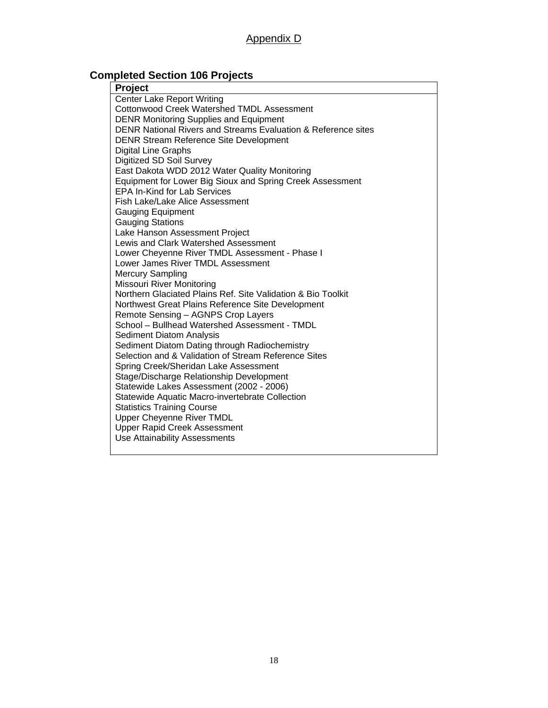## **Completed Section 106 Projects**

| Project                                                       |
|---------------------------------------------------------------|
| <b>Center Lake Report Writing</b>                             |
| <b>Cottonwood Creek Watershed TMDL Assessment</b>             |
| <b>DENR Monitoring Supplies and Equipment</b>                 |
| DENR National Rivers and Streams Evaluation & Reference sites |
| <b>DENR Stream Reference Site Development</b>                 |
| <b>Digital Line Graphs</b>                                    |
| Digitized SD Soil Survey                                      |
| East Dakota WDD 2012 Water Quality Monitoring                 |
| Equipment for Lower Big Sioux and Spring Creek Assessment     |
| <b>EPA In-Kind for Lab Services</b>                           |
| Fish Lake/Lake Alice Assessment                               |
| <b>Gauging Equipment</b>                                      |
| <b>Gauging Stations</b>                                       |
| Lake Hanson Assessment Project                                |
| Lewis and Clark Watershed Assessment                          |
| Lower Cheyenne River TMDL Assessment - Phase I                |
| Lower James River TMDL Assessment                             |
| <b>Mercury Sampling</b>                                       |
| <b>Missouri River Monitoring</b>                              |
| Northern Glaciated Plains Ref. Site Validation & Bio Toolkit  |
| Northwest Great Plains Reference Site Development             |
| Remote Sensing - AGNPS Crop Layers                            |
| School - Bullhead Watershed Assessment - TMDL                 |
| Sediment Diatom Analysis                                      |
| Sediment Diatom Dating through Radiochemistry                 |
| Selection and & Validation of Stream Reference Sites          |
| Spring Creek/Sheridan Lake Assessment                         |
| Stage/Discharge Relationship Development                      |
| Statewide Lakes Assessment (2002 - 2006)                      |
| Statewide Aquatic Macro-invertebrate Collection               |
| <b>Statistics Training Course</b>                             |
| <b>Upper Cheyenne River TMDL</b>                              |
| <b>Upper Rapid Creek Assessment</b>                           |
| Use Attainability Assessments                                 |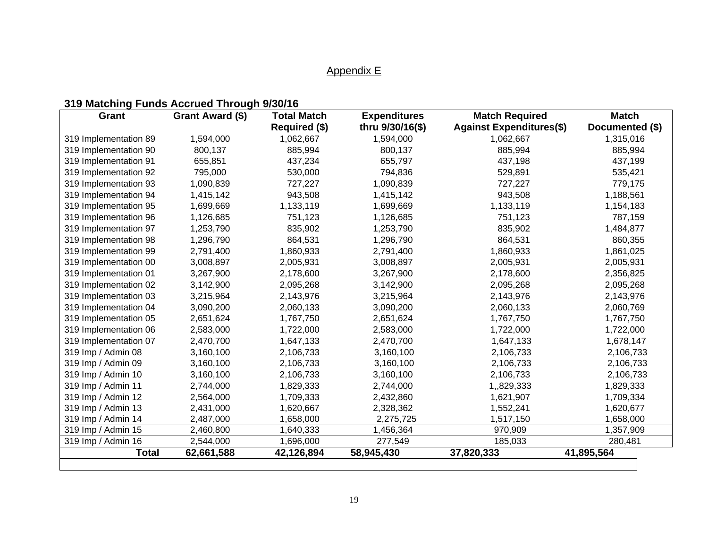## Appendix E

## **319 Matching Funds Accrued Through 9/30/16**

| Grant                 | Grant Award (\$) | <b>Total Match</b> | <b>Expenditures</b> | <b>Match Required</b>           | <b>Match</b>    |
|-----------------------|------------------|--------------------|---------------------|---------------------------------|-----------------|
|                       |                  | Required (\$)      | thru 9/30/16(\$)    | <b>Against Expenditures(\$)</b> | Documented (\$) |
| 319 Implementation 89 | 1,594,000        | 1,062,667          | 1,594,000           | 1,062,667                       | 1,315,016       |
| 319 Implementation 90 | 800,137          | 885,994            | 800,137             | 885,994                         |                 |
| 319 Implementation 91 | 655,851          | 437,234            | 655,797             | 437,198                         | 437,199         |
| 319 Implementation 92 | 795,000          | 530,000            | 794,836             | 529,891                         | 535,421         |
| 319 Implementation 93 | 1,090,839        | 727,227            | 1,090,839           | 727,227                         | 779,175         |
| 319 Implementation 94 | 1,415,142        | 943,508            | 1,415,142           | 943,508                         | 1,188,561       |
| 319 Implementation 95 | 1,699,669        | 1,133,119          | 1,699,669           | 1,133,119                       | 1,154,183       |
| 319 Implementation 96 | 1,126,685        | 751,123            | 1,126,685           | 751,123                         | 787,159         |
| 319 Implementation 97 | 1,253,790        | 835,902            | 1,253,790           | 835,902                         | 1,484,877       |
| 319 Implementation 98 | 1,296,790        | 864,531            | 1,296,790           | 864,531                         | 860,355         |
| 319 Implementation 99 | 2,791,400        | 1,860,933          | 2,791,400           | 1,860,933                       | 1,861,025       |
| 319 Implementation 00 | 3,008,897        | 2,005,931          | 3,008,897           | 2,005,931                       | 2,005,931       |
| 319 Implementation 01 | 3,267,900        | 2,178,600          | 3,267,900           | 2,178,600                       | 2,356,825       |
| 319 Implementation 02 | 3,142,900        | 2,095,268          | 3,142,900           | 2,095,268                       | 2,095,268       |
| 319 Implementation 03 | 3,215,964        | 2,143,976          | 3,215,964           | 2,143,976                       | 2,143,976       |
| 319 Implementation 04 | 3,090,200        | 2,060,133          | 3,090,200           | 2,060,133                       | 2,060,769       |
| 319 Implementation 05 | 2,651,624        | 1,767,750          | 2,651,624           | 1,767,750                       | 1,767,750       |
| 319 Implementation 06 | 2,583,000        | 1,722,000          | 2,583,000           | 1,722,000                       | 1,722,000       |
| 319 Implementation 07 | 2,470,700        | 1,647,133          | 2,470,700           | 1,647,133                       | 1,678,147       |
| 319 Imp / Admin 08    | 3,160,100        | 2,106,733          | 3,160,100           | 2,106,733                       | 2,106,733       |
| 319 Imp / Admin 09    | 3,160,100        | 2,106,733          | 3,160,100           | 2,106,733                       | 2,106,733       |
| 319 Imp / Admin 10    | 3,160,100        | 2,106,733          | 3,160,100           | 2,106,733                       | 2,106,733       |
| 319 Imp / Admin 11    | 2,744,000        | 1,829,333          | 2,744,000           | 1,,829,333                      | 1,829,333       |
| 319 Imp / Admin 12    | 2,564,000        | 1,709,333          | 2,432,860           | 1,621,907                       | 1,709,334       |
| 319 Imp / Admin 13    | 2,431,000        | 1,620,667          | 2,328,362           | 1,552,241                       | 1,620,677       |
| 319 Imp / Admin 14    | 2,487,000        | 1,658,000          | 2,275,725           | 1,517,150                       | 1,658,000       |
| 319 Imp / Admin 15    | 2,460,800        | 1,640,333          | 1,456,364           | 970,909                         | 1,357,909       |
| 319 Imp / Admin 16    | 2,544,000        | 1,696,000          | 277,549             | 185,033                         | 280,481         |
| <b>Total</b>          | 62,661,588       | 42,126,894         | 58,945,430          | 37,820,333                      | 41,895,564      |
|                       |                  |                    |                     |                                 |                 |